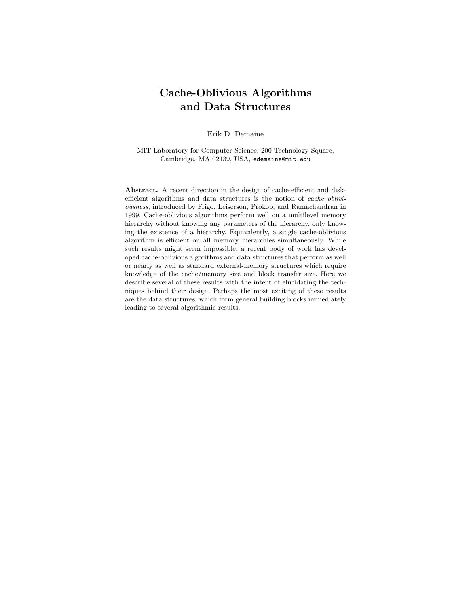# Cache-Oblivious Algorithms and Data Structures

Erik D. Demaine

MIT Laboratory for Computer Science, 200 Technology Square, Cambridge, MA 02139, USA, edemaine@mit.edu

Abstract. A recent direction in the design of cache-efficient and diskefficient algorithms and data structures is the notion of cache obliviousness, introduced by Frigo, Leiserson, Prokop, and Ramachandran in 1999. Cache-oblivious algorithms perform well on a multilevel memory hierarchy without knowing any parameters of the hierarchy, only knowing the existence of a hierarchy. Equivalently, a single cache-oblivious algorithm is efficient on all memory hierarchies simultaneously. While such results might seem impossible, a recent body of work has developed cache-oblivious algorithms and data structures that perform as well or nearly as well as standard external-memory structures which require knowledge of the cache/memory size and block transfer size. Here we describe several of these results with the intent of elucidating the techniques behind their design. Perhaps the most exciting of these results are the data structures, which form general building blocks immediately leading to several algorithmic results.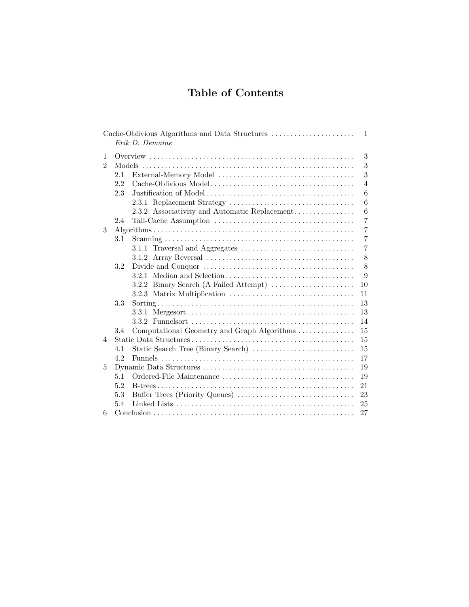# Table of Contents

|               |     | Cache-Oblivious Algorithms and Data Structures<br>Erik D. Demaine | $\overline{1}$ |
|---------------|-----|-------------------------------------------------------------------|----------------|
| 1             |     |                                                                   | 3              |
| $\mathcal{D}$ |     |                                                                   | 3              |
|               | 2.1 |                                                                   | 3              |
|               | 2.2 |                                                                   | $\overline{4}$ |
|               | 2.3 |                                                                   | 6              |
|               |     |                                                                   | 6              |
|               |     | 2.3.2 Associativity and Automatic Replacement                     | 6              |
|               | 2.4 |                                                                   | $\overline{7}$ |
| 3             |     |                                                                   | $\overline{7}$ |
|               | 3.1 |                                                                   | $\overline{7}$ |
|               |     |                                                                   | $\overline{7}$ |
|               |     |                                                                   | 8              |
|               | 3.2 |                                                                   | 8              |
|               |     |                                                                   | 9              |
|               |     | 3.2.2 Binary Search (A Failed Attempt)                            | 10             |
|               |     |                                                                   | 11             |
|               | 3.3 |                                                                   | 13             |
|               |     |                                                                   | 13             |
|               |     |                                                                   | 14             |
|               | 3.4 | Computational Geometry and Graph Algorithms                       | 15             |
| 4             |     |                                                                   | 15             |
|               | 4.1 |                                                                   | 15             |
|               | 4.2 |                                                                   | 17             |
| 5             |     |                                                                   | 19             |
|               | 5.1 |                                                                   | 19             |
|               | 5.2 |                                                                   | 21             |
|               | 5.3 |                                                                   | 23             |
|               | 5.4 |                                                                   | 25             |
| 6             |     |                                                                   | 27             |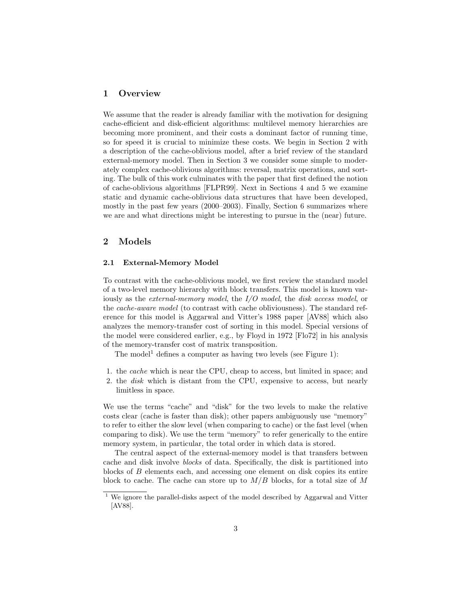# 1 Overview

We assume that the reader is already familiar with the motivation for designing cache-efficient and disk-efficient algorithms: multilevel memory hierarchies are becoming more prominent, and their costs a dominant factor of running time, so for speed it is crucial to minimize these costs. We begin in Section 2 with a description of the cache-oblivious model, after a brief review of the standard external-memory model. Then in Section 3 we consider some simple to moderately complex cache-oblivious algorithms: reversal, matrix operations, and sorting. The bulk of this work culminates with the paper that first defined the notion of cache-oblivious algorithms [FLPR99]. Next in Sections 4 and 5 we examine static and dynamic cache-oblivious data structures that have been developed, mostly in the past few years (2000–2003). Finally, Section 6 summarizes where we are and what directions might be interesting to pursue in the (near) future.

# 2 Models

# 2.1 External-Memory Model

To contrast with the cache-oblivious model, we first review the standard model of a two-level memory hierarchy with block transfers. This model is known variously as the external-memory model, the I/O model, the disk access model, or the cache-aware model (to contrast with cache obliviousness). The standard reference for this model is Aggarwal and Vitter's 1988 paper [AV88] which also analyzes the memory-transfer cost of sorting in this model. Special versions of the model were considered earlier, e.g., by Floyd in 1972 [Flo72] in his analysis of the memory-transfer cost of matrix transposition.

The model<sup>1</sup> defines a computer as having two levels (see Figure 1):

- 1. the cache which is near the CPU, cheap to access, but limited in space; and
- 2. the disk which is distant from the CPU, expensive to access, but nearly limitless in space.

We use the terms "cache" and "disk" for the two levels to make the relative costs clear (cache is faster than disk); other papers ambiguously use "memory" to refer to either the slow level (when comparing to cache) or the fast level (when comparing to disk). We use the term "memory" to refer generically to the entire memory system, in particular, the total order in which data is stored.

The central aspect of the external-memory model is that transfers between cache and disk involve blocks of data. Specifically, the disk is partitioned into blocks of B elements each, and accessing one element on disk copies its entire block to cache. The cache can store up to  $M/B$  blocks, for a total size of M

 $1$  We ignore the parallel-disks aspect of the model described by Aggarwal and Vitter [AV88].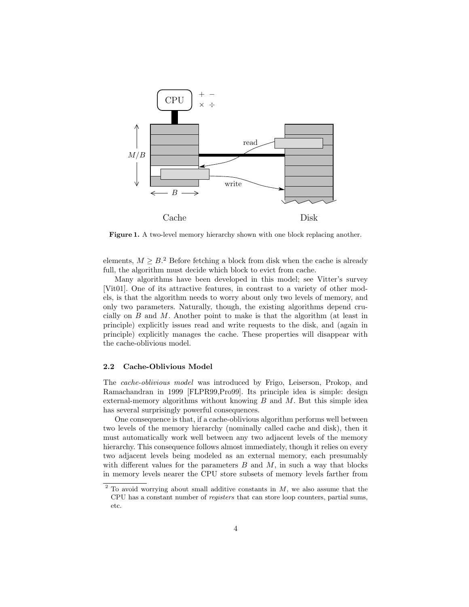

Figure 1. A two-level memory hierarchy shown with one block replacing another.

elements,  $M \geq B$ .<sup>2</sup> Before fetching a block from disk when the cache is already full, the algorithm must decide which block to evict from cache.

Many algorithms have been developed in this model; see Vitter's survey [Vit01]. One of its attractive features, in contrast to a variety of other models, is that the algorithm needs to worry about only two levels of memory, and only two parameters. Naturally, though, the existing algorithms depend crucially on  $B$  and  $M$ . Another point to make is that the algorithm (at least in principle) explicitly issues read and write requests to the disk, and (again in principle) explicitly manages the cache. These properties will disappear with the cache-oblivious model.

# 2.2 Cache-Oblivious Model

The cache-oblivious model was introduced by Frigo, Leiserson, Prokop, and Ramachandran in 1999 [FLPR99,Pro99]. Its principle idea is simple: design external-memory algorithms without knowing  $B$  and  $M$ . But this simple idea has several surprisingly powerful consequences.

One consequence is that, if a cache-oblivious algorithm performs well between two levels of the memory hierarchy (nominally called cache and disk), then it must automatically work well between any two adjacent levels of the memory hierarchy. This consequence follows almost immediately, though it relies on every two adjacent levels being modeled as an external memory, each presumably with different values for the parameters  $B$  and  $M$ , in such a way that blocks in memory levels nearer the CPU store subsets of memory levels farther from

 $2$  To avoid worrying about small additive constants in  $M$ , we also assume that the CPU has a constant number of registers that can store loop counters, partial sums, etc.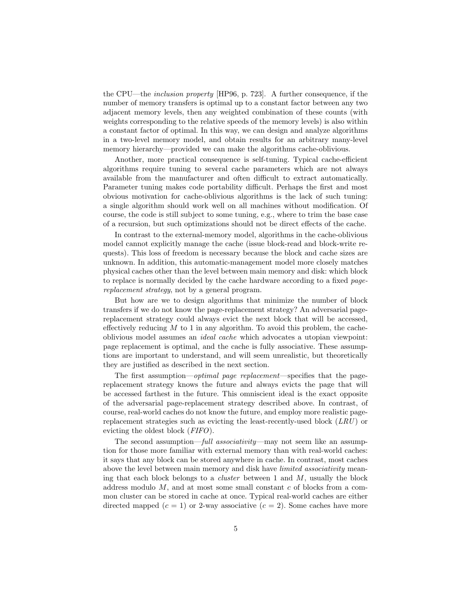the CPU—the inclusion property [HP96, p. 723]. A further consequence, if the number of memory transfers is optimal up to a constant factor between any two adjacent memory levels, then any weighted combination of these counts (with weights corresponding to the relative speeds of the memory levels) is also within a constant factor of optimal. In this way, we can design and analyze algorithms in a two-level memory model, and obtain results for an arbitrary many-level memory hierarchy—provided we can make the algorithms cache-oblivious.

Another, more practical consequence is self-tuning. Typical cache-efficient algorithms require tuning to several cache parameters which are not always available from the manufacturer and often difficult to extract automatically. Parameter tuning makes code portability difficult. Perhaps the first and most obvious motivation for cache-oblivious algorithms is the lack of such tuning: a single algorithm should work well on all machines without modification. Of course, the code is still subject to some tuning, e.g., where to trim the base case of a recursion, but such optimizations should not be direct effects of the cache.

In contrast to the external-memory model, algorithms in the cache-oblivious model cannot explicitly manage the cache (issue block-read and block-write requests). This loss of freedom is necessary because the block and cache sizes are unknown. In addition, this automatic-management model more closely matches physical caches other than the level between main memory and disk: which block to replace is normally decided by the cache hardware according to a fixed pagereplacement strategy, not by a general program.

But how are we to design algorithms that minimize the number of block transfers if we do not know the page-replacement strategy? An adversarial pagereplacement strategy could always evict the next block that will be accessed, effectively reducing  $M$  to 1 in any algorithm. To avoid this problem, the cacheoblivious model assumes an ideal cache which advocates a utopian viewpoint: page replacement is optimal, and the cache is fully associative. These assumptions are important to understand, and will seem unrealistic, but theoretically they are justified as described in the next section.

The first assumption—optimal page replacement—specifies that the pagereplacement strategy knows the future and always evicts the page that will be accessed farthest in the future. This omniscient ideal is the exact opposite of the adversarial page-replacement strategy described above. In contrast, of course, real-world caches do not know the future, and employ more realistic pagereplacement strategies such as evicting the least-recently-used block  $(LRU)$  or evicting the oldest block (FIFO).

The second assumption—full associativity—may not seem like an assumption for those more familiar with external memory than with real-world caches: it says that any block can be stored anywhere in cache. In contrast, most caches above the level between main memory and disk have *limited associativity* meaning that each block belongs to a *cluster* between 1 and  $M$ , usually the block address modulo  $M$ , and at most some small constant  $c$  of blocks from a common cluster can be stored in cache at once. Typical real-world caches are either directed mapped  $(c = 1)$  or 2-way associative  $(c = 2)$ . Some caches have more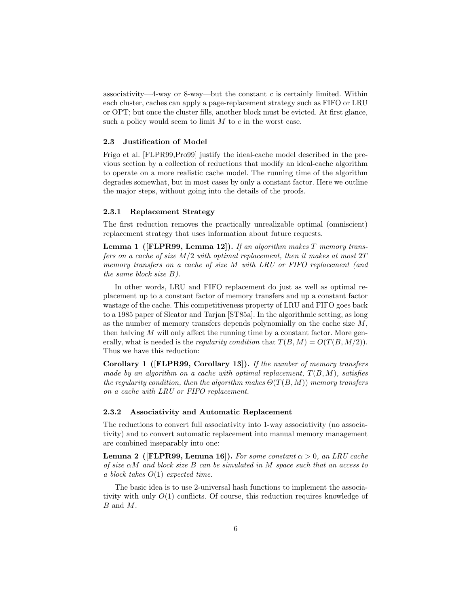associativity—4-way or 8-way—but the constant c is certainly limited. Within each cluster, caches can apply a page-replacement strategy such as FIFO or LRU or OPT; but once the cluster fills, another block must be evicted. At first glance, such a policy would seem to limit  $M$  to  $c$  in the worst case.

# 2.3 Justification of Model

Frigo et al. [FLPR99,Pro99] justify the ideal-cache model described in the previous section by a collection of reductions that modify an ideal-cache algorithm to operate on a more realistic cache model. The running time of the algorithm degrades somewhat, but in most cases by only a constant factor. Here we outline the major steps, without going into the details of the proofs.

#### 2.3.1 Replacement Strategy

The first reduction removes the practically unrealizable optimal (omniscient) replacement strategy that uses information about future requests.

**Lemma 1 ([FLPR99, Lemma 12]).** If an algorithm makes  $T$  memory transfers on a cache of size  $M/2$  with optimal replacement, then it makes at most  $2T$ memory transfers on a cache of size M with LRU or FIFO replacement (and the same block size B).

In other words, LRU and FIFO replacement do just as well as optimal replacement up to a constant factor of memory transfers and up a constant factor wastage of the cache. This competitiveness property of LRU and FIFO goes back to a 1985 paper of Sleator and Tarjan [ST85a]. In the algorithmic setting, as long as the number of memory transfers depends polynomially on the cache size  $M$ , then halving  $M$  will only affect the running time by a constant factor. More generally, what is needed is the *regularity condition* that  $T(B, M) = O(T(B, M/2)).$ Thus we have this reduction:

Corollary 1 ([FLPR99, Corollary 13]). If the number of memory transfers made by an algorithm on a cache with optimal replacement,  $T(B, M)$ , satisfies the regularity condition, then the algorithm makes  $\Theta(T(B,M))$  memory transfers on a cache with LRU or FIFO replacement.

# 2.3.2 Associativity and Automatic Replacement

The reductions to convert full associativity into 1-way associativity (no associativity) and to convert automatic replacement into manual memory management are combined inseparably into one:

**Lemma 2** ([FLPR99, Lemma 16]). For some constant  $\alpha > 0$ , an LRU cache of size  $\alpha M$  and block size B can be simulated in M space such that an access to a block takes O(1) expected time.

The basic idea is to use 2-universal hash functions to implement the associativity with only  $O(1)$  conflicts. Of course, this reduction requires knowledge of B and M.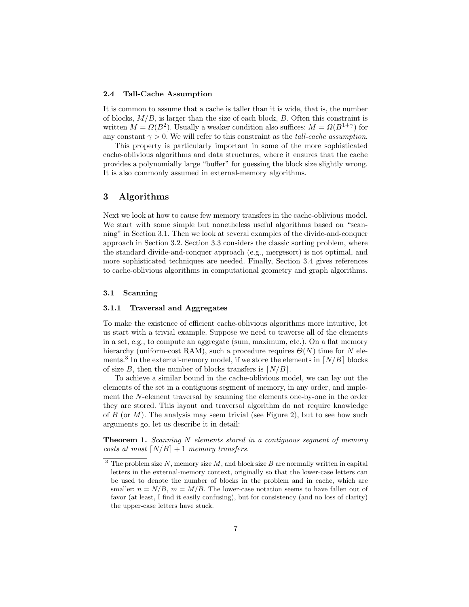## 2.4 Tall-Cache Assumption

It is common to assume that a cache is taller than it is wide, that is, the number of blocks,  $M/B$ , is larger than the size of each block,  $B$ . Often this constraint is written  $M = \Omega(B^2)$ . Usually a weaker condition also suffices:  $M = \Omega(B^{1+\gamma})$  for any constant  $\gamma > 0$ . We will refer to this constraint as the *tall-cache assumption*.

This property is particularly important in some of the more sophisticated cache-oblivious algorithms and data structures, where it ensures that the cache provides a polynomially large "buffer" for guessing the block size slightly wrong. It is also commonly assumed in external-memory algorithms.

# 3 Algorithms

Next we look at how to cause few memory transfers in the cache-oblivious model. We start with some simple but nonetheless useful algorithms based on "scanning" in Section 3.1. Then we look at several examples of the divide-and-conquer approach in Section 3.2. Section 3.3 considers the classic sorting problem, where the standard divide-and-conquer approach (e.g., mergesort) is not optimal, and more sophisticated techniques are needed. Finally, Section 3.4 gives references to cache-oblivious algorithms in computational geometry and graph algorithms.

#### 3.1 Scanning

#### 3.1.1 Traversal and Aggregates

To make the existence of efficient cache-oblivious algorithms more intuitive, let us start with a trivial example. Suppose we need to traverse all of the elements in a set, e.g., to compute an aggregate (sum, maximum, etc.). On a flat memory hierarchy (uniform-cost RAM), such a procedure requires  $\Theta(N)$  time for N elements.<sup>3</sup> In the external-memory model, if we store the elements in  $\lfloor N/B \rfloor$  blocks of size B, then the number of blocks transfers is  $\lfloor N/B \rfloor$ .

To achieve a similar bound in the cache-oblivious model, we can lay out the elements of the set in a contiguous segment of memory, in any order, and implement the N-element traversal by scanning the elements one-by-one in the order they are stored. This layout and traversal algorithm do not require knowledge of B (or  $M$ ). The analysis may seem trivial (see Figure 2), but to see how such arguments go, let us describe it in detail:

**Theorem 1.** Scanning N elements stored in a contiguous segment of memory costs at most  $[N/B] + 1$  memory transfers.

 $3$  The problem size N, memory size M, and block size B are normally written in capital letters in the external-memory context, originally so that the lower-case letters can be used to denote the number of blocks in the problem and in cache, which are smaller:  $n = N/B$ ,  $m = M/B$ . The lower-case notation seems to have fallen out of favor (at least, I find it easily confusing), but for consistency (and no loss of clarity) the upper-case letters have stuck.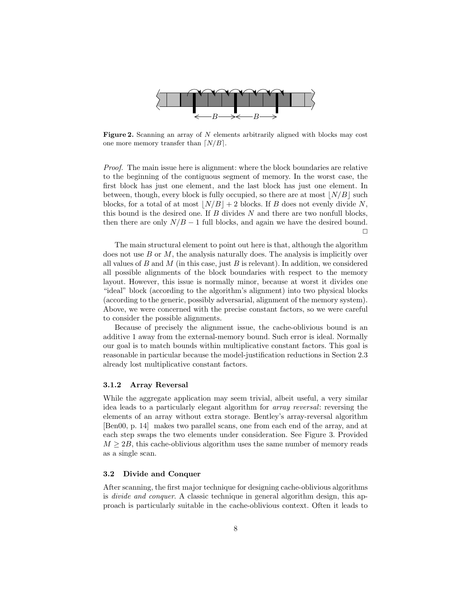

Figure 2. Scanning an array of N elements arbitrarily aligned with blocks may cost one more memory transfer than  $\lfloor N/B \rfloor$ .

Proof. The main issue here is alignment: where the block boundaries are relative to the beginning of the contiguous segment of memory. In the worst case, the first block has just one element, and the last block has just one element. In between, though, every block is fully occupied, so there are at most  $|N/B|$  such blocks, for a total of at most  $\lfloor N/B \rfloor + 2$  blocks. If B does not evenly divide N, this bound is the desired one. If  $B$  divides  $N$  and there are two nonfull blocks, then there are only  $N/B - 1$  full blocks, and again we have the desired bound.  $\Box$ 

The main structural element to point out here is that, although the algorithm does not use  $B$  or  $M$ , the analysis naturally does. The analysis is implicitly over all values of B and M (in this case, just B is relevant). In addition, we considered all possible alignments of the block boundaries with respect to the memory layout. However, this issue is normally minor, because at worst it divides one "ideal" block (according to the algorithm's alignment) into two physical blocks (according to the generic, possibly adversarial, alignment of the memory system). Above, we were concerned with the precise constant factors, so we were careful to consider the possible alignments.

Because of precisely the alignment issue, the cache-oblivious bound is an additive 1 away from the external-memory bound. Such error is ideal. Normally our goal is to match bounds within multiplicative constant factors. This goal is reasonable in particular because the model-justification reductions in Section 2.3 already lost multiplicative constant factors.

## 3.1.2 Array Reversal

While the aggregate application may seem trivial, albeit useful, a very similar idea leads to a particularly elegant algorithm for array reversal: reversing the elements of an array without extra storage. Bentley's array-reversal algorithm [Ben00, p. 14] makes two parallel scans, one from each end of the array, and at each step swaps the two elements under consideration. See Figure 3. Provided  $M \geq 2B$ , this cache-oblivious algorithm uses the same number of memory reads as a single scan.

## 3.2 Divide and Conquer

After scanning, the first major technique for designing cache-oblivious algorithms is divide and conquer. A classic technique in general algorithm design, this approach is particularly suitable in the cache-oblivious context. Often it leads to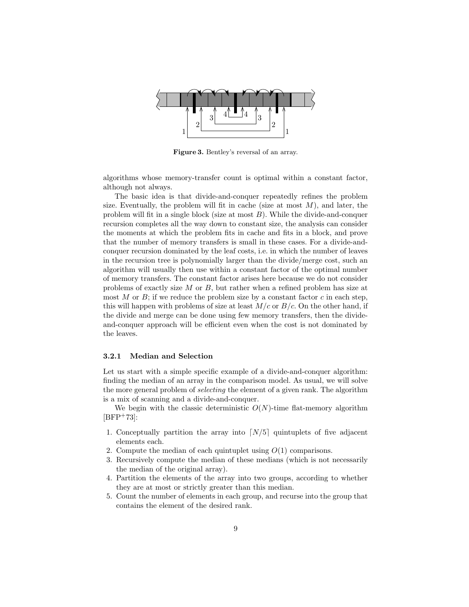

Figure 3. Bentley's reversal of an array.

algorithms whose memory-transfer count is optimal within a constant factor, although not always.

The basic idea is that divide-and-conquer repeatedly refines the problem size. Eventually, the problem will fit in cache (size at most  $M$ ), and later, the problem will fit in a single block (size at most  $B$ ). While the divide-and-conquer recursion completes all the way down to constant size, the analysis can consider the moments at which the problem fits in cache and fits in a block, and prove that the number of memory transfers is small in these cases. For a divide-andconquer recursion dominated by the leaf costs, i.e. in which the number of leaves in the recursion tree is polynomially larger than the divide/merge cost, such an algorithm will usually then use within a constant factor of the optimal number of memory transfers. The constant factor arises here because we do not consider problems of exactly size  $M$  or  $B$ , but rather when a refined problem has size at most M or B; if we reduce the problem size by a constant factor c in each step, this will happen with problems of size at least  $M/c$  or  $B/c$ . On the other hand, if the divide and merge can be done using few memory transfers, then the divideand-conquer approach will be efficient even when the cost is not dominated by the leaves.

# 3.2.1 Median and Selection

Let us start with a simple specific example of a divide-and-conquer algorithm: finding the median of an array in the comparison model. As usual, we will solve the more general problem of *selecting* the element of a given rank. The algorithm is a mix of scanning and a divide-and-conquer.

We begin with the classic deterministic  $O(N)$ -time flat-memory algorithm  $[BFP+73]$ :

- 1. Conceptually partition the array into  $\lfloor N/5 \rfloor$  quintuplets of five adjacent elements each.
- 2. Compute the median of each quintuplet using  $O(1)$  comparisons.
- 3. Recursively compute the median of these medians (which is not necessarily the median of the original array).
- 4. Partition the elements of the array into two groups, according to whether they are at most or strictly greater than this median.
- 5. Count the number of elements in each group, and recurse into the group that contains the element of the desired rank.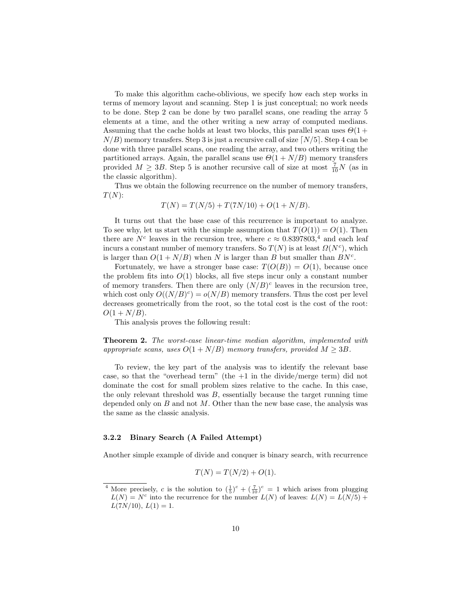To make this algorithm cache-oblivious, we specify how each step works in terms of memory layout and scanning. Step 1 is just conceptual; no work needs to be done. Step 2 can be done by two parallel scans, one reading the array 5 elements at a time, and the other writing a new array of computed medians. Assuming that the cache holds at least two blocks, this parallel scan uses  $\Theta(1 +$  $N/B$ ) memory transfers. Step 3 is just a recursive call of size [N/5]. Step 4 can be done with three parallel scans, one reading the array, and two others writing the partitioned arrays. Again, the parallel scans use  $\Theta(1 + N/B)$  memory transfers provided  $M \geq 3B$ . Step 5 is another recursive call of size at most  $\frac{7}{10}N$  (as in the classic algorithm).

Thus we obtain the following recurrence on the number of memory transfers,  $T(N)$ :

$$
T(N) = T(N/5) + T(7N/10) + O(1 + N/B).
$$

It turns out that the base case of this recurrence is important to analyze. To see why, let us start with the simple assumption that  $T(O(1)) = O(1)$ . Then there are  $N^c$  leaves in the recursion tree, where  $c \approx 0.8397803$ ,<sup>4</sup> and each leaf incurs a constant number of memory transfers. So  $T(N)$  is at least  $\Omega(N^c)$ , which is larger than  $O(1 + N/B)$  when N is larger than B but smaller than  $BN<sup>c</sup>$ .

Fortunately, we have a stronger base case:  $T(O(B)) = O(1)$ , because once the problem fits into  $O(1)$  blocks, all five steps incur only a constant number of memory transfers. Then there are only  $(N/B)^c$  leaves in the recursion tree, which cost only  $O((N/B)^c) = o(N/B)$  memory transfers. Thus the cost per level decreases geometrically from the root, so the total cost is the cost of the root:  $O(1 + N/B)$ .

This analysis proves the following result:

Theorem 2. The worst-case linear-time median algorithm, implemented with appropriate scans, uses  $O(1 + N/B)$  memory transfers, provided  $M \geq 3B$ .

To review, the key part of the analysis was to identify the relevant base case, so that the "overhead term" (the  $+1$  in the divide/merge term) did not dominate the cost for small problem sizes relative to the cache. In this case, the only relevant threshold was  $B$ , essentially because the target running time depended only on  $B$  and not  $M$ . Other than the new base case, the analysis was the same as the classic analysis.

## 3.2.2 Binary Search (A Failed Attempt)

Another simple example of divide and conquer is binary search, with recurrence

$$
T(N) = T(N/2) + O(1).
$$

<sup>&</sup>lt;sup>4</sup> More precisely, c is the solution to  $(\frac{1}{5})^c + (\frac{7}{10})^c = 1$  which arises from plugging  $L(N) = N^c$  into the recurrence for the number  $L(N)$  of leaves:  $L(N) = L(N/5) +$  $L(7N/10), L(1) = 1.$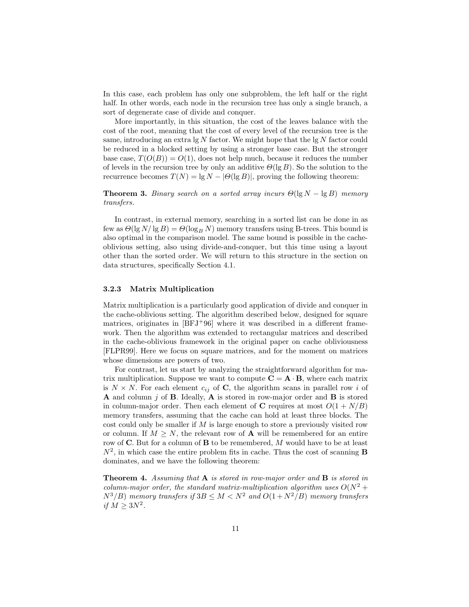In this case, each problem has only one subproblem, the left half or the right half. In other words, each node in the recursion tree has only a single branch, a sort of degenerate case of divide and conquer.

More importantly, in this situation, the cost of the leaves balance with the cost of the root, meaning that the cost of every level of the recursion tree is the same, introducing an extra  $\lg N$  factor. We might hope that the  $\lg N$  factor could be reduced in a blocked setting by using a stronger base case. But the stronger base case,  $T(O(B)) = O(1)$ , does not help much, because it reduces the number of levels in the recursion tree by only an additive  $\Theta(\lg B)$ . So the solution to the recurrence becomes  $T(N) = \lg N - |\Theta(\lg B)|$ , proving the following theorem:

**Theorem 3.** Binary search on a sorted array incurs  $\Theta(\lg N - \lg B)$  memory transfers.

In contrast, in external memory, searching in a sorted list can be done in as few as  $\Theta(\lg N/\lg B) = \Theta(\log_B N)$  memory transfers using B-trees. This bound is also optimal in the comparison model. The same bound is possible in the cacheoblivious setting, also using divide-and-conquer, but this time using a layout other than the sorted order. We will return to this structure in the section on data structures, specifically Section 4.1.

#### 3.2.3 Matrix Multiplication

Matrix multiplication is a particularly good application of divide and conquer in the cache-oblivious setting. The algorithm described below, designed for square matrices, originates in  $[BFJ+96]$  where it was described in a different framework. Then the algorithm was extended to rectangular matrices and described in the cache-oblivious framework in the original paper on cache obliviousness [FLPR99]. Here we focus on square matrices, and for the moment on matrices whose dimensions are powers of two.

For contrast, let us start by analyzing the straightforward algorithm for matrix multiplication. Suppose we want to compute  $C = A \cdot B$ , where each matrix is  $N \times N$ . For each element  $c_{ij}$  of C, the algorithm scans in parallel row i of A and column  $j$  of B. Ideally, A is stored in row-major order and B is stored in column-major order. Then each element of C requires at most  $O(1 + N/B)$ memory transfers, assuming that the cache can hold at least three blocks. The cost could only be smaller if  $M$  is large enough to store a previously visited row or column. If  $M \geq N$ , the relevant row of **A** will be remembered for an entire row of  $C$ . But for a column of  $B$  to be remembered, M would have to be at least  $N^2$ , in which case the entire problem fits in cache. Thus the cost of scanning **B** dominates, and we have the following theorem:

**Theorem 4.** Assuming that  $A$  is stored in row-major order and  $B$  is stored in column-major order, the standard matrix-multiplication algorithm uses  $O(N^2 +$  $N^3/B$ ) memory transfers if  $3B \leq M < N^2$  and  $O(1 + N^2/B)$  memory transfers if  $M \geq 3N^2$ .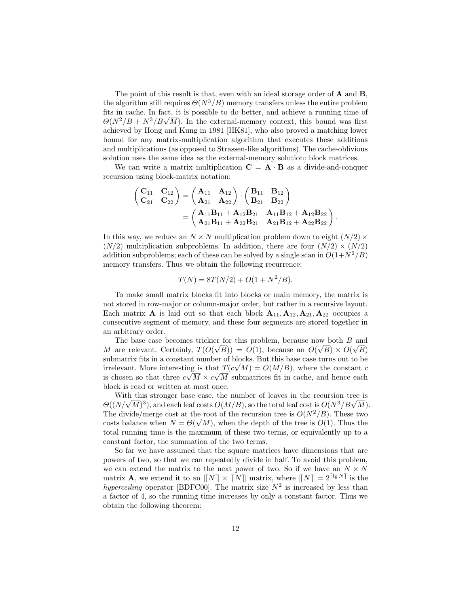The point of this result is that, even with an ideal storage order of A and B, the algorithm still requires  $\Theta(N^3/B)$  memory transfers unless the entire problem fits in cache. In fact, it is possible to do better, and achieve a running time of  $\Theta(N^2/B + N^3/B\sqrt{M})$ . In the external-memory context, this bound was first achieved by Hong and Kung in 1981 [HK81], who also proved a matching lower bound for any matrix-multiplication algorithm that executes these additions and multiplications (as opposed to Strassen-like algorithms). The cache-oblivious solution uses the same idea as the external-memory solution: block matrices.

We can write a matrix multiplication  $\mathbf{C} = \mathbf{A} \cdot \mathbf{B}$  as a divide-and-conquer recursion using block-matrix notation:

$$
\begin{pmatrix} \mathbf{C}_{11} & \mathbf{C}_{12} \\ \mathbf{C}_{21} & \mathbf{C}_{22} \end{pmatrix} = \begin{pmatrix} \mathbf{A}_{11} & \mathbf{A}_{12} \\ \mathbf{A}_{21} & \mathbf{A}_{22} \end{pmatrix} \cdot \begin{pmatrix} \mathbf{B}_{11} & \mathbf{B}_{12} \\ \mathbf{B}_{21} & \mathbf{B}_{22} \end{pmatrix} \\ = \begin{pmatrix} \mathbf{A}_{11}\mathbf{B}_{11} + \mathbf{A}_{12}\mathbf{B}_{21} & \mathbf{A}_{11}\mathbf{B}_{12} + \mathbf{A}_{12}\mathbf{B}_{22} \\ \mathbf{A}_{21}\mathbf{B}_{11} + \mathbf{A}_{22}\mathbf{B}_{21} & \mathbf{A}_{21}\mathbf{B}_{12} + \mathbf{A}_{22}\mathbf{B}_{22} \end{pmatrix}.
$$

In this way, we reduce an  $N \times N$  multiplication problem down to eight  $(N/2) \times$  $(N/2)$  multiplication subproblems. In addition, there are four  $(N/2) \times (N/2)$ addition subproblems; each of these can be solved by a single scan in  $O(1+N^2/B)$ memory transfers. Thus we obtain the following recurrence:

$$
T(N) = 8T(N/2) + O(1 + N^2/B).
$$

To make small matrix blocks fit into blocks or main memory, the matrix is not stored in row-major or column-major order, but rather in a recursive layout. Each matrix **A** is laid out so that each block  $A_{11}, A_{12}, A_{21}, A_{22}$  occupies a consecutive segment of memory, and these four segments are stored together in an arbitrary order.

The base case becomes trickier for this problem, because now both B and M are relevant. Certainly,  $T(O(\sqrt{B})) = O(1)$ , because an  $O(\sqrt{B}) \times O(\sqrt{B})$ submatrix fits in a constant number of blocks. But this base case turns out to be irrelevant. More interesting is that  $T(c\sqrt{M}) = O(M/B)$ , where the constant c is chosen so that three  $c\sqrt{M} \times c\sqrt{M}$  submatrices fit in cache, and hence each block is read or written at most once.

With this stronger base case, the number of leaves in the recursion tree is  $\Theta((N/\sqrt{M})^3)$ , and each leaf costs  $O(M/B)$ , so the total leaf cost is  $O(N^3/B\sqrt{M})$ . The divide/merge cost at the root of the recursion tree is  $O(N^2/B)$ . These two costs balance when  $N = \Theta(\sqrt{M})$ , when the depth of the tree is  $O(1)$ . Thus the total running time is the maximum of these two terms, or equivalently up to a constant factor, the summation of the two terms.

So far we have assumed that the square matrices have dimensions that are powers of two, so that we can repeatedly divide in half. To avoid this problem, we can extend the matrix to the next power of two. So if we have an  $N \times N$ matrix **A**, we extend it to an  $\llbracket N \rrbracket \times \llbracket N \rrbracket$  matrix, where  $\llbracket N \rrbracket = 2^{\lceil \lg N \rceil}$  is the hyperceiling operator [BDFC00]. The matrix size  $N^2$  is increased by less than a factor of 4, so the running time increases by only a constant factor. Thus we obtain the following theorem: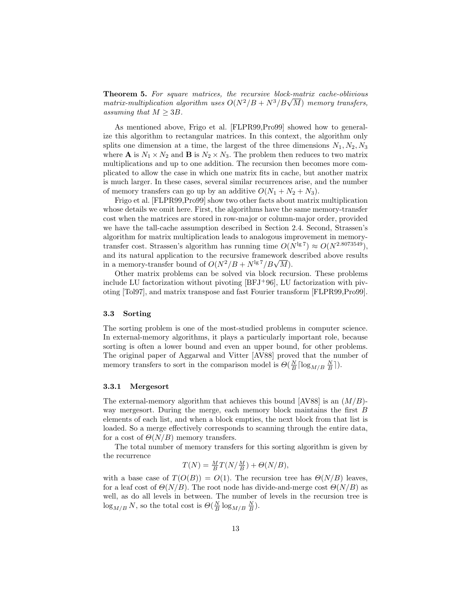**Theorem 5.** For square matrices, the recursive block-matrix cache-oblivious matrix-multiplication algorithm uses  $O(N^2/B + N^3/B\sqrt{M})$  memory transfers, assuming that  $M \geq 3B$ .

As mentioned above, Frigo et al. [FLPR99,Pro99] showed how to generalize this algorithm to rectangular matrices. In this context, the algorithm only splits one dimension at a time, the largest of the three dimensions  $N_1, N_2, N_3$ where **A** is  $N_1 \times N_2$  and **B** is  $N_2 \times N_3$ . The problem then reduces to two matrix multiplications and up to one addition. The recursion then becomes more complicated to allow the case in which one matrix fits in cache, but another matrix is much larger. In these cases, several similar recurrences arise, and the number of memory transfers can go up by an additive  $O(N_1 + N_2 + N_3)$ .

Frigo et al. [FLPR99,Pro99] show two other facts about matrix multiplication whose details we omit here. First, the algorithms have the same memory-transfer cost when the matrices are stored in row-major or column-major order, provided we have the tall-cache assumption described in Section 2.4. Second, Strassen's algorithm for matrix multiplication leads to analogous improvement in memorytransfer cost. Strassen's algorithm has running time  $O(N^{\lg 7}) \approx O(N^{2.8073549})$ , and its natural application to the recursive framework described above results in a memory-transfer bound of  $O(N^2/B + N^{1g7}/B\sqrt{M})$ .

Other matrix problems can be solved via block recursion. These problems include LU factorization without pivoting  $[BFJ^+96]$ , LU factorization with pivoting [Tol97], and matrix transpose and fast Fourier transform [FLPR99,Pro99].

#### 3.3 Sorting

The sorting problem is one of the most-studied problems in computer science. In external-memory algorithms, it plays a particularly important role, because sorting is often a lower bound and even an upper bound, for other problems. The original paper of Aggarwal and Vitter [AV88] proved that the number of memory transfers to sort in the comparison model is  $\Theta(\frac{N}{B} \lceil \log_{M/B} \frac{N}{B} \rceil)$ .

## 3.3.1 Mergesort

The external-memory algorithm that achieves this bound [AV88] is an  $(M/B)$ way mergesort. During the merge, each memory block maintains the first B elements of each list, and when a block empties, the next block from that list is loaded. So a merge effectively corresponds to scanning through the entire data, for a cost of  $\Theta(N/B)$  memory transfers.

The total number of memory transfers for this sorting algorithm is given by the recurrence

$$
T(N) = \frac{M}{B}T(N/\frac{M}{B}) + \Theta(N/B),
$$

with a base case of  $T(O(B)) = O(1)$ . The recursion tree has  $\Theta(N/B)$  leaves, for a leaf cost of  $\Theta(N/B)$ . The root node has divide-and-merge cost  $\Theta(N/B)$  as well, as do all levels in between. The number of levels in the recursion tree is  $\log_{M/B} N$ , so the total cost is  $\Theta(\frac{N}{B} \log_{M/B} \frac{N}{B})$ .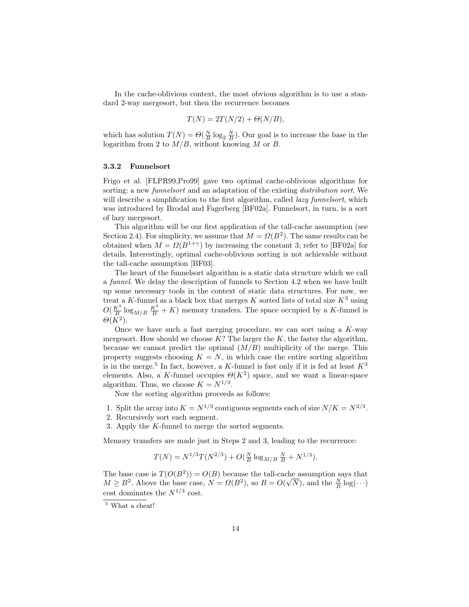In the cache-oblivious context, the most obvious algorithm is to use a standard 2-way mergesort, but then the recurrence becomes

$$
T(N) = 2T(N/2) + \Theta(N/B),
$$

which has solution  $T(N) = \Theta(\frac{N}{B} \log_2 \frac{N}{B})$ . Our goal is to increase the base in the logarithm from 2 to  $M/B$ , without knowing M or B.

## 3.3.2 Funnelsort

Frigo et al. [FLPR99,Pro99] gave two optimal cache-oblivious algorithms for sorting: a new *funnelsort* and an adaptation of the existing *distribution sort*. We will describe a simplification to the first algorithm, called *lazy funnelsort*, which was introduced by Brodal and Fagerberg [BF02a]. Funnelsort, in turn, is a sort of lazy mergesort.

This algorithm will be our first application of the tall-cache assumption (see Section 2.4). For simplicity, we assume that  $M = \Omega(B^2)$ . The same results can be obtained when  $M = \Omega(B^{1+\gamma})$  by increasing the constant 3; refer to [BF02a] for details. Interestingly, optimal cache-oblivious sorting is not achievable without the tall-cache assumption [BF03].

The heart of the funnelsort algorithm is a static data structure which we call a funnel. We delay the description of funnels to Section 4.2 when we have built up some necessary tools in the context of static data structures. For now, we treat a K-funnel as a black box that merges K sorted lists of total size  $K^3$  using  $O(\frac{K^3}{B}\log_{M/B}\frac{K^3}{B}+K)$  memory transfers. The space occupied by a K-funnel is  $\Theta(K^2)$ .

Once we have such a fast merging procedure, we can sort using a  $K$ -way mergesort. How should we choose  $K$ ? The larger the  $K$ , the faster the algorithm, because we cannot predict the optimal  $(M/B)$  multiplicity of the merge. This property suggests choosing  $K = N$ , in which case the entire sorting algorithm is in the merge.<sup>5</sup> In fact, however, a K-funnel is fast only if it is fed at least  $K^3$ elements. Also, a K-funnel occupies  $\Theta(K^2)$  space, and we want a linear-space algorithm. Thus, we choose  $K = N^{1/3}$ .

Now the sorting algorithm proceeds as follows:

- 1. Split the array into  $K = N^{1/3}$  contiguous segments each of size  $N/K = N^{2/3}$ .
- 2. Recursively sort each segment.
- 3. Apply the K-funnel to merge the sorted segments.

Memory transfers are made just in Steps 2 and 3, leading to the recurrence:

$$
T(N) = N^{1/3} T(N^{2/3}) + O(\frac{N}{B} \log_{M/B} \frac{N}{B} + N^{1/3}).
$$

The base case is  $T(O(B<sup>2</sup>)) = O(B)$  because the tall-cache assumption says that  $M \geq B^2$ . Above the base case,  $N = \Omega(B^2)$ , so  $B = O(\sqrt{N})$ , and the  $\frac{N}{B} \log(\cdot \cdot \cdot)$ cost dominates the  $N^{1/3}$  cost.

 $\overline{\phantom{a}}^5$  What a cheat!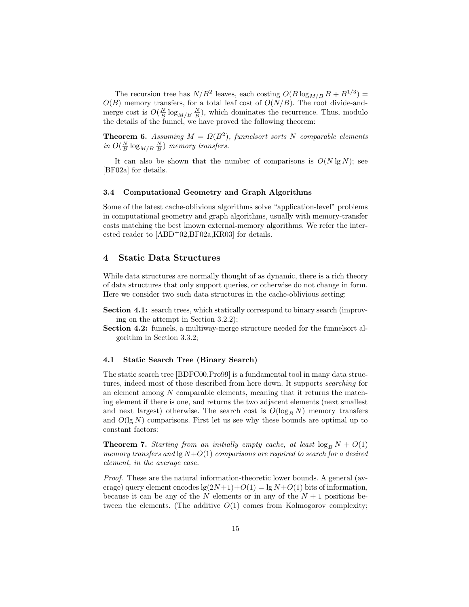The recursion tree has  $N/B^2$  leaves, each costing  $O(B \log_{M/B} B + B^{1/3}) =$  $O(B)$  memory transfers, for a total leaf cost of  $O(N/B)$ . The root divide-andmerge cost is  $O(\frac{N}{B}\log_{M/B} \frac{N}{B})$ , which dominates the recurrence. Thus, modulo the details of the funnel, we have proved the following theorem:

**Theorem 6.** Assuming  $M = \Omega(B^2)$ , funnelsort sorts N comparable elements in  $O(\frac{N}{B}\log_{M/B} \frac{N}{B})$  memory transfers.

It can also be shown that the number of comparisons is  $O(N \lg N)$ ; see [BF02a] for details.

## 3.4 Computational Geometry and Graph Algorithms

Some of the latest cache-oblivious algorithms solve "application-level" problems in computational geometry and graph algorithms, usually with memory-transfer costs matching the best known external-memory algorithms. We refer the interested reader to  $[ABD<sup>+</sup>02,BF02a,KR03]$  for details.

# 4 Static Data Structures

While data structures are normally thought of as dynamic, there is a rich theory of data structures that only support queries, or otherwise do not change in form. Here we consider two such data structures in the cache-oblivious setting:

- Section 4.1: search trees, which statically correspond to binary search (improving on the attempt in Section 3.2.2);
- Section 4.2: funnels, a multiway-merge structure needed for the funnelsort algorithm in Section 3.3.2;

#### 4.1 Static Search Tree (Binary Search)

The static search tree [BDFC00,Pro99] is a fundamental tool in many data structures, indeed most of those described from here down. It supports searching for an element among N comparable elements, meaning that it returns the matching element if there is one, and returns the two adjacent elements (next smallest and next largest) otherwise. The search cost is  $O(\log_B N)$  memory transfers and  $O(\lg N)$  comparisons. First let us see why these bounds are optimal up to constant factors:

**Theorem 7.** Starting from an initially empty cache, at least  $\log_B N + O(1)$ memory transfers and  $\lg N + O(1)$  comparisons are required to search for a desired element, in the average case.

Proof. These are the natural information-theoretic lower bounds. A general (average) query element encodes  $\lg(2N+1)+O(1) = \lg N+O(1)$  bits of information, because it can be any of the N elements or in any of the  $N+1$  positions between the elements. (The additive  $O(1)$  comes from Kolmogorov complexity;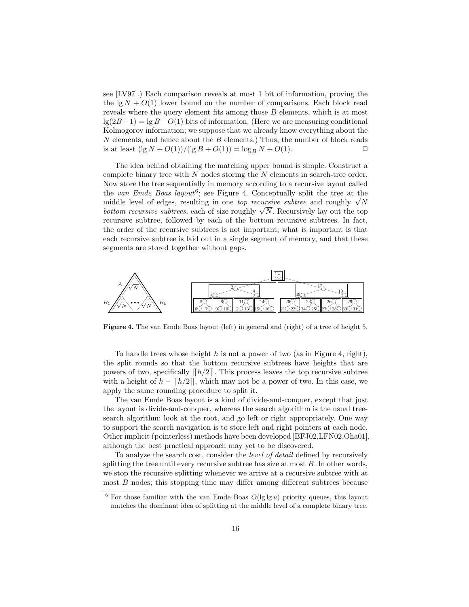see [LV97].) Each comparison reveals at most 1 bit of information, proving the the  $\lg N + O(1)$  lower bound on the number of comparisons. Each block read reveals where the query element fits among those B elements, which is at most  $\lg(2B+1) = \lg B + O(1)$  bits of information. (Here we are measuring conditional Kolmogorov information; we suppose that we already know everything about the  $N$  elements, and hence about the  $B$  elements.) Thus, the number of block reads is at least  $(\lg N + O(1)) / (\lg B + O(1)) = \log_B N + O(1)$ .

The idea behind obtaining the matching upper bound is simple. Construct a complete binary tree with  $N$  nodes storing the  $N$  elements in search-tree order. Now store the tree sequentially in memory according to a recursive layout called the van Emde Boas layout<sup>6</sup>; see Figure 4. Conceptually split the tree at the middle level of edges, resulting in one *top recursive subtree* and roughly  $\sqrt{N}$ bottom recursive subtrees, each of size roughly  $\sqrt{N}$ . Recursively lay out the top recursive subtree, followed by each of the bottom recursive subtrees. In fact, the order of the recursive subtrees is not important; what is important is that each recursive subtree is laid out in a single segment of memory, and that these segments are stored together without gaps.



Figure 4. The van Emde Boas layout (left) in general and (right) of a tree of height 5.

To handle trees whose height h is not a power of two (as in Figure 4, right), the split rounds so that the bottom recursive subtrees have heights that are powers of two, specifically  $\left[\frac{\hbar}{2}\right]$ . This process leaves the top recursive subtree with a height of  $h - ||h/2||$ , which may not be a power of two. In this case, we apply the same rounding procedure to split it.

The van Emde Boas layout is a kind of divide-and-conquer, except that just the layout is divide-and-conquer, whereas the search algorithm is the usual treesearch algorithm: look at the root, and go left or right appropriately. One way to support the search navigation is to store left and right pointers at each node. Other implicit (pointerless) methods have been developed [BFJ02,LFN02,Oha01], although the best practical approach may yet to be discovered.

To analyze the search cost, consider the level of detail defined by recursively splitting the tree until every recursive subtree has size at most  $B$ . In other words, we stop the recursive splitting whenever we arrive at a recursive subtree with at most  $B$  nodes; this stopping time may differ among different subtrees because

 $6$  For those familiar with the van Emde Boas  $O(\lg \lg u)$  priority queues, this layout matches the dominant idea of splitting at the middle level of a complete binary tree.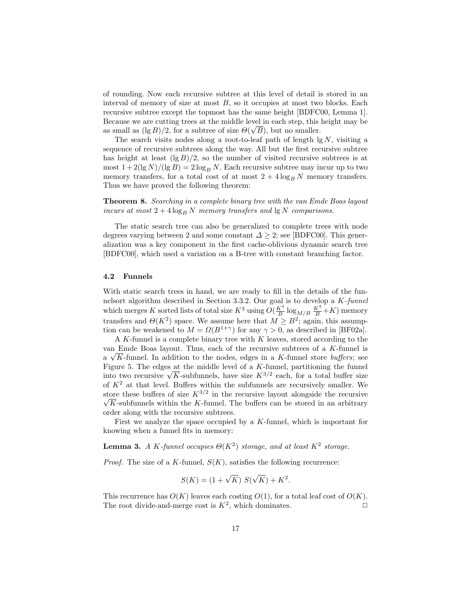of rounding. Now each recursive subtree at this level of detail is stored in an interval of memory of size at most  $B$ , so it occupies at most two blocks. Each recursive subtree except the topmost has the same height [BDFC00, Lemma 1]. Because we are cutting trees at the middle level in each step, this height may be  $\alpha$  as small as (lg B)/2, for a subtree of size  $\Theta(\sqrt{B})$ , but no smaller.

The search visits nodes along a root-to-leaf path of length  $\lg N$ , visiting a sequence of recursive subtrees along the way. All but the first recursive subtree has height at least  $(\lg B)/2$ , so the number of visited recursive subtrees is at most  $1+2(\lg N)/(\lg B) = 2\log_B N$ . Each recursive subtree may incur up to two memory transfers, for a total cost of at most  $2 + 4 \log_B N$  memory transfers. Thus we have proved the following theorem:

Theorem 8. Searching in a complete binary tree with the van Emde Boas layout incurs at most  $2 + 4 \log_B N$  memory transfers and  $\log N$  comparisons.

The static search tree can also be generalized to complete trees with node degrees varying between 2 and some constant  $\Delta \geq 2$ ; see [BDFC00]. This generalization was a key component in the first cache-oblivious dynamic search tree [BDFC00], which used a variation on a B-tree with constant branching factor.

#### 4.2 Funnels

With static search trees in hand, we are ready to fill in the details of the funnelsort algorithm described in Section 3.3.2. Our goal is to develop a K-funnel which merges K sorted lists of total size  $K^3$  using  $O(\frac{K^3}{B} \log_{M/B} \frac{K^3}{B} + K)$  memory transfers and  $\Theta(K^2)$  space. We assume here that  $M \geq B^2$ ; again, this assumption can be weakened to  $M = \Omega(B^{1+\gamma})$  for any  $\gamma > 0$ , as described in [BF02a].

A K-funnel is a complete binary tree with  $K$  leaves, stored according to the van Emde Boas layout. Thus, each of the recursive subtrees of a K-funnel is a  $\sqrt{K}$ -funnel. In addition to the nodes, edges in a K-funnel store *buffers*; see Figure 5. The edges at the middle level of a  $K$ -funnel, partitioning the funnel into two recursive  $\sqrt{K}$ -subfunnels, have size  $K^{3/2}$  each, for a total buffer size of  $K^2$  at that level. Buffers within the subfunnels are recursively smaller. We store these buffers of size  $K^{3/2}$  in the recursive layout alongside the recursive  $\sqrt{K}$ -subfunnels within the K-funnel. The buffers can be stored in an arbitrary order along with the recursive subtrees.

First we analyze the space occupied by a K-funnel, which is important for knowing when a funnel fits in memory:

**Lemma 3.** A K-funnel occupies  $\Theta(K^2)$  storage, and at least  $K^2$  storage.

*Proof.* The size of a K-funnel,  $S(K)$ , satisfies the following recurrence:

$$
S(K) = (1 + \sqrt{K}) S(\sqrt{K}) + K^2.
$$

This recurrence has  $O(K)$  leaves each costing  $O(1)$ , for a total leaf cost of  $O(K)$ . The root divide-and-merge cost is  $K^2$ , which dominates.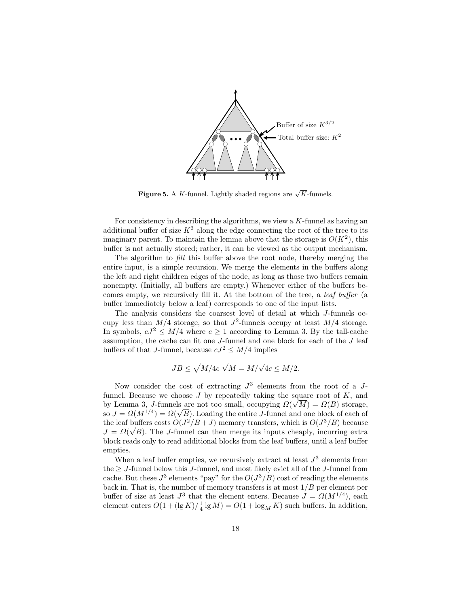

Figure 5. A K-funnel. Lightly shaded regions are  $\sqrt{K}$ -funnels.

For consistency in describing the algorithms, we view a  $K$ -funnel as having an additional buffer of size  $K^3$  along the edge connecting the root of the tree to its imaginary parent. To maintain the lemma above that the storage is  $O(K^2)$ , this buffer is not actually stored; rather, it can be viewed as the output mechanism.

The algorithm to fill this buffer above the root node, thereby merging the entire input, is a simple recursion. We merge the elements in the buffers along the left and right children edges of the node, as long as those two buffers remain nonempty. (Initially, all buffers are empty.) Whenever either of the buffers becomes empty, we recursively fill it. At the bottom of the tree, a leaf buffer (a buffer immediately below a leaf) corresponds to one of the input lists.

The analysis considers the coarsest level of detail at which J-funnels occupy less than  $M/4$  storage, so that  $J^2$ -funnels occupy at least  $M/4$  storage. In symbols,  $cJ^2 \leq M/4$  where  $c \geq 1$  according to Lemma 3. By the tall-cache assumption, the cache can fit one J-funnel and one block for each of the J leaf buffers of that J-funnel, because  $cJ^2 \leq M/4$  implies

$$
JB \leq \sqrt{M/4c} \; \sqrt{M} = M/\sqrt{4c} \leq M/2.
$$

Now consider the cost of extracting  $J^3$  elements from the root of a  $J$ funnel. Because we choose  $J$  by repeatedly taking the square root of  $K$ , and by Lemma 3, J-funnels are not too small, occupying  $\Omega(\sqrt{M}) = \Omega(B)$  storage, so  $J = \Omega(M^{1/4}) = \Omega(\sqrt{B})$ . Loading the entire J-funnel and one block of each of the leaf buffers costs  $O(J^2/B+J)$  memory transfers, which is  $O(J^3/B)$  because  $J = \Omega(\sqrt{B})$ . The J-funnel can then merge its inputs cheaply, incurring extra block reads only to read additional blocks from the leaf buffers, until a leaf buffer empties.

When a leaf buffer empties, we recursively extract at least  $J^3$  elements from the  $> J$ -funnel below this J-funnel, and most likely evict all of the J-funnel from cache. But these  $J^3$  elements "pay" for the  $O(J^3/B)$  cost of reading the elements back in. That is, the number of memory transfers is at most  $1/B$  per element per buffer of size at least  $J^3$  that the element enters. Because  $J = \Omega(M^{1/4})$ , each element enters  $O(1 + (\lg K)/\frac{1}{4} \lg M) = O(1 + \log_M K)$  such buffers. In addition,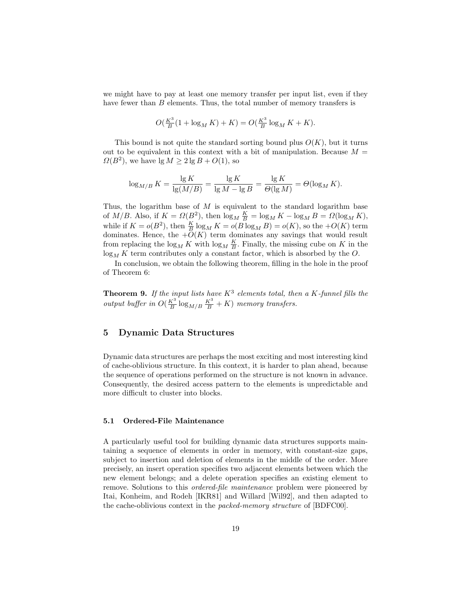we might have to pay at least one memory transfer per input list, even if they have fewer than B elements. Thus, the total number of memory transfers is

$$
O(\frac{K^3}{B}(1 + \log_M K) + K) = O(\frac{K^3}{B} \log_M K + K).
$$

This bound is not quite the standard sorting bound plus  $O(K)$ , but it turns out to be equivalent in this context with a bit of manipulation. Because  $M =$  $\Omega(B^2)$ , we have  $\lg M \geq 2 \lg B + O(1)$ , so

$$
\log_{M/B} K = \frac{\lg K}{\lg(M/B)} = \frac{\lg K}{\lg M - \lg B} = \frac{\lg K}{\Theta(\lg M)} = \Theta(\log_M K).
$$

Thus, the logarithm base of  $M$  is equivalent to the standard logarithm base of  $M/B$ . Also, if  $K = \Omega(B^2)$ , then  $\log_M \frac{K}{B} = \log_M K - \log_M B = \Omega(\log_M K)$ , while if  $K = o(B^2)$ , then  $\frac{K}{B} \log_M K = o(B \log_M B) = o(K)$ , so the  $+O(K)$  term dominates. Hence, the  $+O(K)$  term dominates any savings that would result from replacing the  $\log_M K$  with  $\log_M \frac{K}{B}$ . Finally, the missing cube on K in the  $\log_M K$  term contributes only a constant factor, which is absorbed by the O.

In conclusion, we obtain the following theorem, filling in the hole in the proof of Theorem 6:

**Theorem 9.** If the input lists have  $K^3$  elements total, then a K-funnel fills the output buffer in  $O(\frac{K^3}{B} \log_{M/B} \frac{K^3}{B} + K)$  memory transfers.

# 5 Dynamic Data Structures

Dynamic data structures are perhaps the most exciting and most interesting kind of cache-oblivious structure. In this context, it is harder to plan ahead, because the sequence of operations performed on the structure is not known in advance. Consequently, the desired access pattern to the elements is unpredictable and more difficult to cluster into blocks.

# 5.1 Ordered-File Maintenance

A particularly useful tool for building dynamic data structures supports maintaining a sequence of elements in order in memory, with constant-size gaps, subject to insertion and deletion of elements in the middle of the order. More precisely, an insert operation specifies two adjacent elements between which the new element belongs; and a delete operation specifies an existing element to remove. Solutions to this *ordered-file maintenance* problem were pioneered by Itai, Konheim, and Rodeh [IKR81] and Willard [Wil92], and then adapted to the cache-oblivious context in the packed-memory structure of [BDFC00].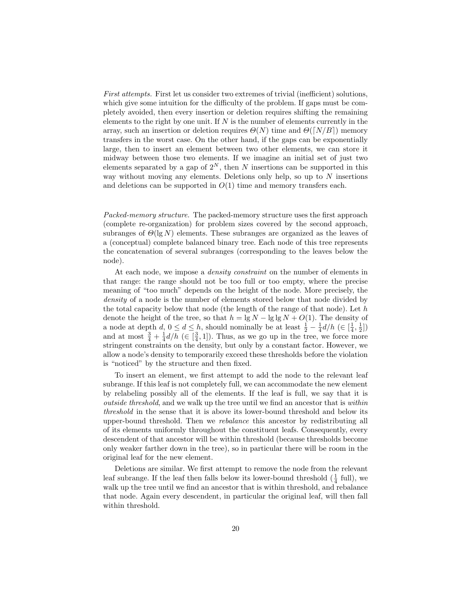First attempts. First let us consider two extremes of trivial (inefficient) solutions, which give some intuition for the difficulty of the problem. If gaps must be completely avoided, then every insertion or deletion requires shifting the remaining elements to the right by one unit. If  $N$  is the number of elements currently in the array, such an insertion or deletion requires  $\Theta(N)$  time and  $\Theta(N/B)$  memory transfers in the worst case. On the other hand, if the gaps can be exponentially large, then to insert an element between two other elements, we can store it midway between those two elements. If we imagine an initial set of just two elements separated by a gap of  $2^N$ , then N insertions can be supported in this way without moving any elements. Deletions only help, so up to  $N$  insertions and deletions can be supported in  $O(1)$  time and memory transfers each.

Packed-memory structure. The packed-memory structure uses the first approach (complete re-organization) for problem sizes covered by the second approach, subranges of  $\Theta(\lg N)$  elements. These subranges are organized as the leaves of a (conceptual) complete balanced binary tree. Each node of this tree represents the concatenation of several subranges (corresponding to the leaves below the node).

At each node, we impose a density constraint on the number of elements in that range: the range should not be too full or too empty, where the precise meaning of "too much" depends on the height of the node. More precisely, the density of a node is the number of elements stored below that node divided by the total capacity below that node (the length of the range of that node). Let h denote the height of the tree, so that  $h = \lg N - \lg \lg N + O(1)$ . The density of a node at depth  $d, 0 \leq d \leq h$ , should nominally be at least  $\frac{1}{2} - \frac{1}{4}d/h$  ( $\in [\frac{1}{4}, \frac{1}{2}]$ ) and at most  $\frac{3}{4} + \frac{1}{4}d/h$  ( $\in [\frac{3}{4}, 1]$ ). Thus, as we go up in the tree, we force more stringent constraints on the density, but only by a constant factor. However, we allow a node's density to temporarily exceed these thresholds before the violation is "noticed" by the structure and then fixed.

To insert an element, we first attempt to add the node to the relevant leaf subrange. If this leaf is not completely full, we can accommodate the new element by relabeling possibly all of the elements. If the leaf is full, we say that it is outside threshold, and we walk up the tree until we find an ancestor that is within threshold in the sense that it is above its lower-bound threshold and below its upper-bound threshold. Then we rebalance this ancestor by redistributing all of its elements uniformly throughout the constituent leafs. Consequently, every descendent of that ancestor will be within threshold (because thresholds become only weaker farther down in the tree), so in particular there will be room in the original leaf for the new element.

Deletions are similar. We first attempt to remove the node from the relevant leaf subrange. If the leaf then falls below its lower-bound threshold  $(\frac{1}{4}$  full), we walk up the tree until we find an ancestor that is within threshold, and rebalance that node. Again every descendent, in particular the original leaf, will then fall within threshold.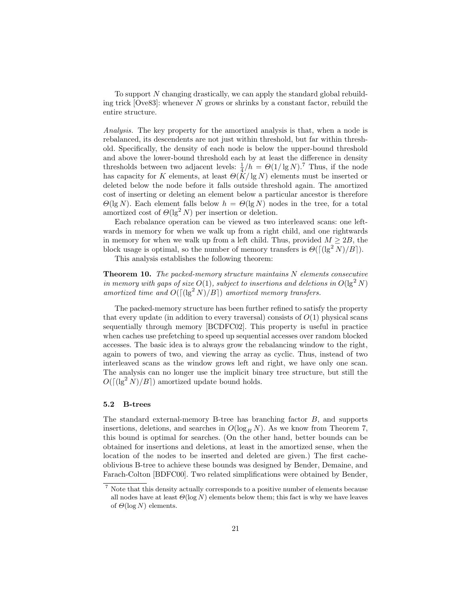To support N changing drastically, we can apply the standard global rebuilding trick  $[Ove83]$ : whenever N grows or shrinks by a constant factor, rebuild the entire structure.

Analysis. The key property for the amortized analysis is that, when a node is rebalanced, its descendents are not just within threshold, but far within threshold. Specifically, the density of each node is below the upper-bound threshold and above the lower-bound threshold each by at least the difference in density thresholds between two adjacent levels:  $\frac{1}{4}/h = \Theta(1/\lg N)^7$ . Thus, if the node has capacity for K elements, at least  $\Theta(K/\lg N)$  elements must be inserted or deleted below the node before it falls outside threshold again. The amortized cost of inserting or deleting an element below a particular ancestor is therefore  $\Theta(\lg N)$ . Each element falls below  $h = \Theta(\lg N)$  nodes in the tree, for a total amortized cost of  $\Theta(\lg^2 N)$  per insertion or deletion.

Each rebalance operation can be viewed as two interleaved scans: one leftwards in memory for when we walk up from a right child, and one rightwards in memory for when we walk up from a left child. Thus, provided  $M \geq 2B$ , the block usage is optimal, so the number of memory transfers is  $\Theta([(\lg^2 N)/B])$ .

This analysis establishes the following theorem:

**Theorem 10.** The packed-memory structure maintains  $N$  elements consecutive in memory with gaps of size  $O(1)$ , subject to insertions and deletions in  $O(\lg^2 N)$ amortized time and  $O((\lg^2 N)/B)$  amortized memory transfers.

The packed-memory structure has been further refined to satisfy the property that every update (in addition to every traversal) consists of  $O(1)$  physical scans sequentially through memory [BCDFC02]. This property is useful in practice when caches use prefetching to speed up sequential accesses over random blocked accesses. The basic idea is to always grow the rebalancing window to the right, again to powers of two, and viewing the array as cyclic. Thus, instead of two interleaved scans as the window grows left and right, we have only one scan. The analysis can no longer use the implicit binary tree structure, but still the  $O(\lceil(\lg^2 N)/B\rceil)$  amortized update bound holds.

# 5.2 B-trees

The standard external-memory B-tree has branching factor B, and supports insertions, deletions, and searches in  $O(\log_B N)$ . As we know from Theorem 7, this bound is optimal for searches. (On the other hand, better bounds can be obtained for insertions and deletions, at least in the amortized sense, when the location of the nodes to be inserted and deleted are given.) The first cacheoblivious B-tree to achieve these bounds was designed by Bender, Demaine, and Farach-Colton [BDFC00]. Two related simplifications were obtained by Bender,

<sup>7</sup> Note that this density actually corresponds to a positive number of elements because all nodes have at least  $\Theta(\log N)$  elements below them; this fact is why we have leaves of  $\Theta(\log N)$  elements.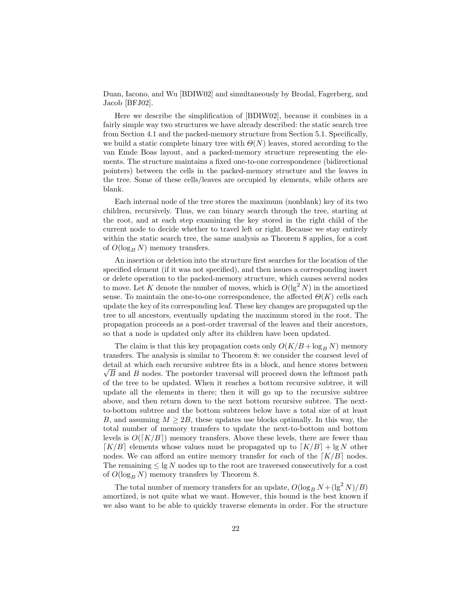Duan, Iacono, and Wu [BDIW02] and simultaneously by Brodal, Fagerberg, and Jacob [BFJ02].

Here we describe the simplification of [BDIW02], because it combines in a fairly simple way two structures we have already described: the static search tree from Section 4.1 and the packed-memory structure from Section 5.1. Specifically, we build a static complete binary tree with  $\Theta(N)$  leaves, stored according to the van Emde Boas layout, and a packed-memory structure representing the elements. The structure maintains a fixed one-to-one correspondence (bidirectional pointers) between the cells in the packed-memory structure and the leaves in the tree. Some of these cells/leaves are occupied by elements, while others are blank.

Each internal node of the tree stores the maximum (nonblank) key of its two children, recursively. Thus, we can binary search through the tree, starting at the root, and at each step examining the key stored in the right child of the current node to decide whether to travel left or right. Because we stay entirely within the static search tree, the same analysis as Theorem 8 applies, for a cost of  $O(\log_B N)$  memory transfers.

An insertion or deletion into the structure first searches for the location of the specified element (if it was not specified), and then issues a corresponding insert or delete operation to the packed-memory structure, which causes several nodes to move. Let K denote the number of moves, which is  $O(\lg^2 N)$  in the amortized sense. To maintain the one-to-one correspondence, the affected  $\Theta(K)$  cells each update the key of its corresponding leaf. These key changes are propagated up the tree to all ancestors, eventually updating the maximum stored in the root. The propagation proceeds as a post-order traversal of the leaves and their ancestors, so that a node is updated only after its children have been updated.

The claim is that this key propagation costs only  $O(K/B + \log_B N)$  memory transfers. The analysis is similar to Theorem 8: we consider the coarsest level of detail at which each recursive subtree fits in a block, and hence stores between  $\sqrt{B}$  and B nodes. The postorder traversal will proceed down the leftmost path of the tree to be updated. When it reaches a bottom recursive subtree, it will update all the elements in there; then it will go up to the recursive subtree above, and then return down to the next bottom recursive subtree. The nextto-bottom subtree and the bottom subtrees below have a total size of at least B, and assuming  $M \geq 2B$ , these updates use blocks optimally. In this way, the total number of memory transfers to update the next-to-bottom and bottom levels is  $O([K/B])$  memory transfers. Above these levels, there are fewer than  $[K/B]$  elements whose values must be propagated up to  $[K/B] + \lg N$  other nodes. We can afford an entire memory transfer for each of the  $\lceil K/B \rceil$  nodes. The remaining  $\leq \lg N$  nodes up to the root are traversed consecutively for a cost of  $O(\log_B N)$  memory transfers by Theorem 8.

The total number of memory transfers for an update,  $O(\log_B N + (\lg^2 N)/B)$ amortized, is not quite what we want. However, this bound is the best known if we also want to be able to quickly traverse elements in order. For the structure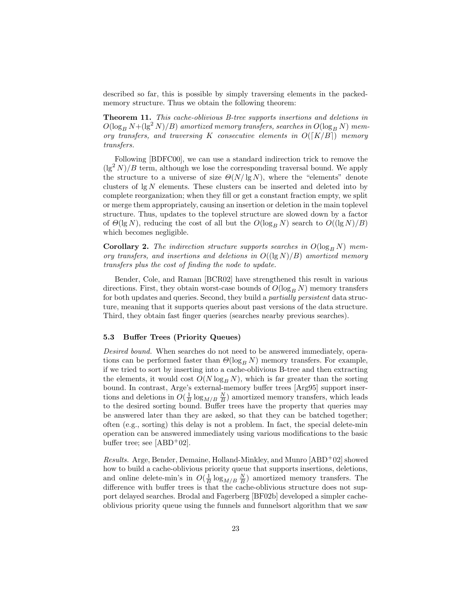described so far, this is possible by simply traversing elements in the packedmemory structure. Thus we obtain the following theorem:

Theorem 11. This cache-oblivious B-tree supports insertions and deletions in  $O(\log_B N + (\lg^2 N)/B)$  amortized memory transfers, searches in  $O(\log_B N)$  memory transfers, and traversing K consecutive elements in  $O([K/B])$  memory transfers.

Following [BDFC00], we can use a standard indirection trick to remove the  $(\lg^2 N)/B$  term, although we lose the corresponding traversal bound. We apply the structure to a universe of size  $\Theta(N/\lg N)$ , where the "elements" denote clusters of  $\lg N$  elements. These clusters can be inserted and deleted into by complete reorganization; when they fill or get a constant fraction empty, we split or merge them appropriately, causing an insertion or deletion in the main toplevel structure. Thus, updates to the toplevel structure are slowed down by a factor of  $\Theta(\lg N)$ , reducing the cost of all but the  $O(\log_B N)$  search to  $O((\lg N)/B)$ which becomes negligible.

Corollary 2. The indirection structure supports searches in  $O(\log_B N)$  memory transfers, and insertions and deletions in  $O((\lg N)/B)$  amortized memory transfers plus the cost of finding the node to update.

Bender, Cole, and Raman [BCR02] have strengthened this result in various directions. First, they obtain worst-case bounds of  $O(\log_B N)$  memory transfers for both updates and queries. Second, they build a partially persistent data structure, meaning that it supports queries about past versions of the data structure. Third, they obtain fast finger queries (searches nearby previous searches).

# 5.3 Buffer Trees (Priority Queues)

Desired bound. When searches do not need to be answered immediately, operations can be performed faster than  $\Theta(\log_B N)$  memory transfers. For example, if we tried to sort by inserting into a cache-oblivious B-tree and then extracting the elements, it would cost  $O(N \log_B N)$ , which is far greater than the sorting bound. In contrast, Arge's external-memory buffer trees [Arg95] support insertions and deletions in  $O(\frac{1}{B}\log_{M/B} \frac{N}{B})$  amortized memory transfers, which leads to the desired sorting bound. Buffer trees have the property that queries may be answered later than they are asked, so that they can be batched together; often (e.g., sorting) this delay is not a problem. In fact, the special delete-min operation can be answered immediately using various modifications to the basic buffer tree; see  $[ABD+02]$ .

Results. Arge, Bender, Demaine, Holland-Minkley, and Munro [ABD<sup>+</sup>02] showed how to build a cache-oblivious priority queue that supports insertions, deletions, and online delete-min's in  $O(\frac{1}{B}\log_{M/B} \frac{N}{B})$  amortized memory transfers. The difference with buffer trees is that the cache-oblivious structure does not support delayed searches. Brodal and Fagerberg [BF02b] developed a simpler cacheoblivious priority queue using the funnels and funnelsort algorithm that we saw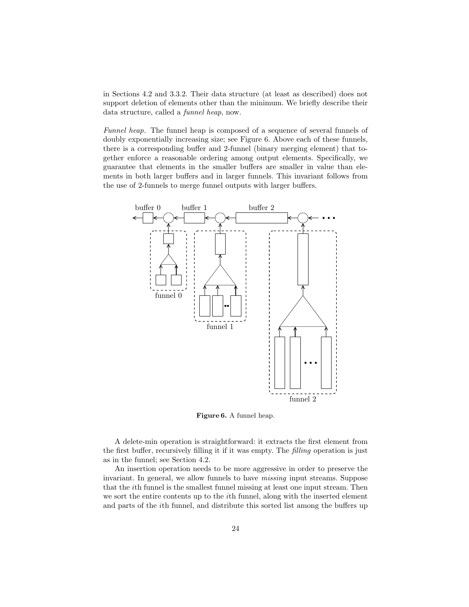in Sections 4.2 and 3.3.2. Their data structure (at least as described) does not support deletion of elements other than the minimum. We briefly describe their data structure, called a funnel heap, now.

Funnel heap. The funnel heap is composed of a sequence of several funnels of doubly exponentially increasing size; see Figure 6. Above each of these funnels, there is a corresponding buffer and 2-funnel (binary merging element) that together enforce a reasonable ordering among output elements. Specifically, we guarantee that elements in the smaller buffers are smaller in value than elements in both larger buffers and in larger funnels. This invariant follows from the use of 2-funnels to merge funnel outputs with larger buffers.



Figure 6. A funnel heap.

A delete-min operation is straightforward: it extracts the first element from the first buffer, recursively filling it if it was empty. The filling operation is just as in the funnel; see Section 4.2.

An insertion operation needs to be more aggressive in order to preserve the invariant. In general, we allow funnels to have missing input streams. Suppose that the ith funnel is the smallest funnel missing at least one input stream. Then we sort the entire contents up to the *i*th funnel, along with the inserted element and parts of the ith funnel, and distribute this sorted list among the buffers up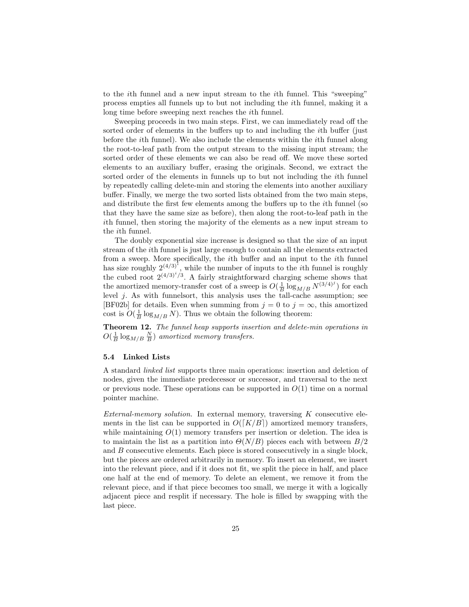to the ith funnel and a new input stream to the ith funnel. This "sweeping" process empties all funnels up to but not including the ith funnel, making it a long time before sweeping next reaches the ith funnel.

Sweeping proceeds in two main steps. First, we can immediately read off the sorted order of elements in the buffers up to and including the ith buffer (just before the ith funnel). We also include the elements within the ith funnel along the root-to-leaf path from the output stream to the missing input stream; the sorted order of these elements we can also be read off. We move these sorted elements to an auxiliary buffer, erasing the originals. Second, we extract the sorted order of the elements in funnels up to but not including the ith funnel by repeatedly calling delete-min and storing the elements into another auxiliary buffer. Finally, we merge the two sorted lists obtained from the two main steps, and distribute the first few elements among the buffers up to the ith funnel (so that they have the same size as before), then along the root-to-leaf path in the ith funnel, then storing the majority of the elements as a new input stream to the ith funnel.

The doubly exponential size increase is designed so that the size of an input stream of the ith funnel is just large enough to contain all the elements extracted from a sweep. More specifically, the ith buffer and an input to the ith funnel has size roughly  $2^{(4/3)^i}$ , while the number of inputs to the *i*th funnel is roughly the cubed root  $2^{(4/3)^i/3}$ . A fairly straightforward charging scheme shows that the amortized memory-transfer cost of a sweep is  $O(\frac{1}{B} \log_{M/B} N^{(3/4)^j})$  for each level  $j$ . As with funnelsort, this analysis uses the tall-cache assumption; see [BF02b] for details. Even when summing from  $j = 0$  to  $j = \infty$ , this amortized cost is  $O(\frac{1}{B}\log_{M/B} N)$ . Thus we obtain the following theorem:

Theorem 12. The funnel heap supports insertion and delete-min operations in  $O(\frac{1}{B}\log_{M/B}\frac{N}{B})$  amortized memory transfers.

## 5.4 Linked Lists

A standard linked list supports three main operations: insertion and deletion of nodes, given the immediate predecessor or successor, and traversal to the next or previous node. These operations can be supported in  $O(1)$  time on a normal pointer machine.

External-memory solution. In external memory, traversing  $K$  consecutive elements in the list can be supported in  $O([K/B])$  amortized memory transfers, while maintaining  $O(1)$  memory transfers per insertion or deletion. The idea is to maintain the list as a partition into  $\Theta(N/B)$  pieces each with between  $B/2$ and B consecutive elements. Each piece is stored consecutively in a single block, but the pieces are ordered arbitrarily in memory. To insert an element, we insert into the relevant piece, and if it does not fit, we split the piece in half, and place one half at the end of memory. To delete an element, we remove it from the relevant piece, and if that piece becomes too small, we merge it with a logically adjacent piece and resplit if necessary. The hole is filled by swapping with the last piece.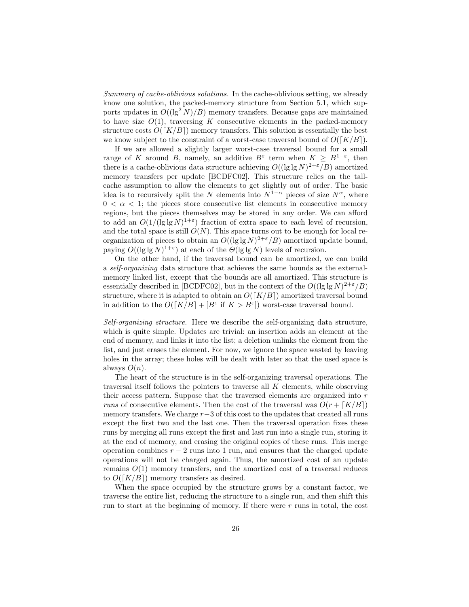Summary of cache-oblivious solutions. In the cache-oblivious setting, we already know one solution, the packed-memory structure from Section 5.1, which supports updates in  $O((\lg^2 N)/B)$  memory transfers. Because gaps are maintained to have size  $O(1)$ , traversing K consecutive elements in the packed-memory structure costs  $O([K/B])$  memory transfers. This solution is essentially the best we know subject to the constraint of a worst-case traversal bound of  $O([K/B])$ .

If we are allowed a slightly larger worst-case traversal bound for a small range of K around B, namely, an additive  $B^{\varepsilon}$  term when  $K \geq B^{1-\varepsilon}$ , then there is a cache-oblivious data structure achieving  $O((\lg \lg N)^{2+\epsilon}/B)$  amortized memory transfers per update [BCDFC02]. This structure relies on the tallcache assumption to allow the elements to get slightly out of order. The basic idea is to recursively split the N elements into  $N^{1-\alpha}$  pieces of size  $N^{\alpha}$ , where  $0 < \alpha < 1$ ; the pieces store consecutive list elements in consecutive memory regions, but the pieces themselves may be stored in any order. We can afford to add an  $O(1/(\lg\lg N)^{1+\varepsilon})$  fraction of extra space to each level of recursion, and the total space is still  $O(N)$ . This space turns out to be enough for local reorganization of pieces to obtain an  $O((\lg \lg N)^{2+\epsilon}/B)$  amortized update bound, paying  $O((\lg \lg N)^{1+\epsilon})$  at each of the  $O(\lg \lg N)$  levels of recursion.

On the other hand, if the traversal bound can be amortized, we can build a self-organizing data structure that achieves the same bounds as the externalmemory linked list, except that the bounds are all amortized. This structure is essentially described in [BCDFC02], but in the context of the  $O((\lg \lg N)^{2+\epsilon}/B)$ structure, where it is adapted to obtain an  $O([K/B])$  amortized traversal bound in addition to the  $O([K/B] + [B^{\varepsilon}$  if  $K > B^{\varepsilon}]$ ) worst-case traversal bound.

Self-organizing structure. Here we describe the self-organizing data structure, which is quite simple. Updates are trivial: an insertion adds an element at the end of memory, and links it into the list; a deletion unlinks the element from the list, and just erases the element. For now, we ignore the space wasted by leaving holes in the array; these holes will be dealt with later so that the used space is always  $O(n)$ .

The heart of the structure is in the self-organizing traversal operations. The traversal itself follows the pointers to traverse all K elements, while observing their access pattern. Suppose that the traversed elements are organized into r runs of consecutive elements. Then the cost of the traversal was  $O(r + [K/B])$ memory transfers. We charge  $r-3$  of this cost to the updates that created all runs except the first two and the last one. Then the traversal operation fixes these runs by merging all runs except the first and last run into a single run, storing it at the end of memory, and erasing the original copies of these runs. This merge operation combines  $r - 2$  runs into 1 run, and ensures that the charged update operations will not be charged again. Thus, the amortized cost of an update remains  $O(1)$  memory transfers, and the amortized cost of a traversal reduces to  $O([K/B])$  memory transfers as desired.

When the space occupied by the structure grows by a constant factor, we traverse the entire list, reducing the structure to a single run, and then shift this run to start at the beginning of memory. If there were  $r$  runs in total, the cost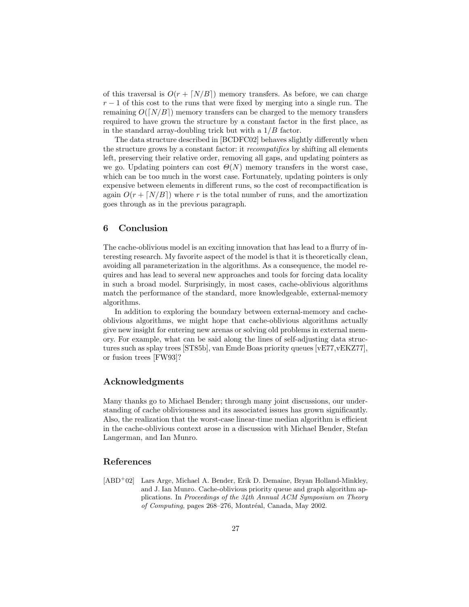of this traversal is  $O(r + [N/B])$  memory transfers. As before, we can charge  $r-1$  of this cost to the runs that were fixed by merging into a single run. The remaining  $O([N/B])$  memory transfers can be charged to the memory transfers required to have grown the structure by a constant factor in the first place, as in the standard array-doubling trick but with a  $1/B$  factor.

The data structure described in [BCDFC02] behaves slightly differently when the structure grows by a constant factor: it recompatifies by shifting all elements left, preserving their relative order, removing all gaps, and updating pointers as we go. Updating pointers can cost  $\Theta(N)$  memory transfers in the worst case, which can be too much in the worst case. Fortunately, updating pointers is only expensive between elements in different runs, so the cost of recompactification is again  $O(r + [N/B])$  where r is the total number of runs, and the amortization goes through as in the previous paragraph.

# 6 Conclusion

The cache-oblivious model is an exciting innovation that has lead to a flurry of interesting research. My favorite aspect of the model is that it is theoretically clean, avoiding all parameterization in the algorithms. As a consequence, the model requires and has lead to several new approaches and tools for forcing data locality in such a broad model. Surprisingly, in most cases, cache-oblivious algorithms match the performance of the standard, more knowledgeable, external-memory algorithms.

In addition to exploring the boundary between external-memory and cacheoblivious algorithms, we might hope that cache-oblivious algorithms actually give new insight for entering new arenas or solving old problems in external memory. For example, what can be said along the lines of self-adjusting data structures such as splay trees [ST85b], van Emde Boas priority queues [vE77,vEKZ77], or fusion trees [FW93]?

# Acknowledgments

Many thanks go to Michael Bender; through many joint discussions, our understanding of cache obliviousness and its associated issues has grown significantly. Also, the realization that the worst-case linear-time median algorithm is efficient in the cache-oblivious context arose in a discussion with Michael Bender, Stefan Langerman, and Ian Munro.

# References

[ABD<sup>+</sup>02] Lars Arge, Michael A. Bender, Erik D. Demaine, Bryan Holland-Minkley, and J. Ian Munro. Cache-oblivious priority queue and graph algorithm applications. In Proceedings of the 34th Annual ACM Symposium on Theory of Computing, pages 268–276, Montréal, Canada, May 2002.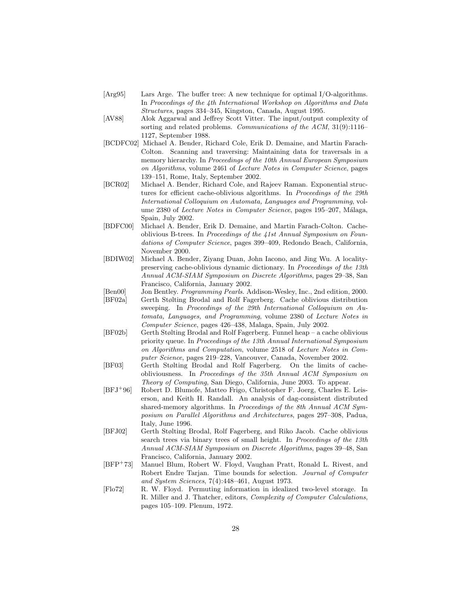- [Arg95] Lars Arge. The buffer tree: A new technique for optimal I/O-algorithms. In Proceedings of the 4th International Workshop on Algorithms and Data Structures, pages 334–345, Kingston, Canada, August 1995.
- [AV88] Alok Aggarwal and Jeffrey Scott Vitter. The input/output complexity of sorting and related problems. Communications of the ACM, 31(9):1116– 1127, September 1988.
- [BCDFC02] Michael A. Bender, Richard Cole, Erik D. Demaine, and Martin Farach-Colton. Scanning and traversing: Maintaining data for traversals in a memory hierarchy. In Proceedings of the 10th Annual European Symposium on Algorithms, volume 2461 of Lecture Notes in Computer Science, pages 139–151, Rome, Italy, September 2002.
- [BCR02] Michael A. Bender, Richard Cole, and Rajeev Raman. Exponential structures for efficient cache-oblivious algorithms. In Proceedings of the 29th International Colloquium on Automata, Languages and Programming, volume 2380 of Lecture Notes in Computer Science, pages 195–207, Málaga, Spain, July 2002.
- [BDFC00] Michael A. Bender, Erik D. Demaine, and Martin Farach-Colton. Cacheoblivious B-trees. In Proceedings of the 41st Annual Symposium on Foundations of Computer Science, pages 399–409, Redondo Beach, California, November 2000.
- [BDIW02] Michael A. Bender, Ziyang Duan, John Iacono, and Jing Wu. A localitypreserving cache-oblivious dynamic dictionary. In Proceedings of the 13th Annual ACM-SIAM Symposium on Discrete Algorithms, pages 29–38, San Francisco, California, January 2002.
- [Ben00] Jon Bentley. *Programming Pearls*. Addison-Wesley, Inc., 2nd edition, 2000.<br>[BF02a] Gerth Stølting Brodal and Rolf Fagerberg. Cache oblivious distribution Gerth Stølting Brodal and Rolf Fagerberg. Cache oblivious distribution sweeping. In Proceedings of the 29th International Colloquium on Automata, Languages, and Programming, volume 2380 of Lecture Notes in
- Computer Science, pages 426–438, Malaga, Spain, July 2002. [BF02b] Gerth Stølting Brodal and Rolf Fagerberg. Funnel heap – a cache oblivious priority queue. In Proceedings of the 13th Annual International Symposium on Algorithms and Computation, volume 2518 of Lecture Notes in Computer Science, pages 219–228, Vancouver, Canada, November 2002.
- [BF03] Gerth Stølting Brodal and Rolf Fagerberg. On the limits of cacheobliviousness. In Proceedings of the 35th Annual ACM Symposium on Theory of Computing, San Diego, California, June 2003. To appear.
- [BFJ<sup>+</sup>96] Robert D. Blumofe, Matteo Frigo, Christopher F. Joerg, Charles E. Leiserson, and Keith H. Randall. An analysis of dag-consistent distributed shared-memory algorithms. In Proceedings of the 8th Annual ACM Symposium on Parallel Algorithms and Architectures, pages 297–308, Padua, Italy, June 1996.
- [BFJ02] Gerth Stølting Brodal, Rolf Fagerberg, and Riko Jacob. Cache oblivious search trees via binary trees of small height. In Proceedings of the 13th Annual ACM-SIAM Symposium on Discrete Algorithms, pages 39–48, San Francisco, California, January 2002.
- [BFP<sup>+</sup>73] Manuel Blum, Robert W. Floyd, Vaughan Pratt, Ronald L. Rivest, and Robert Endre Tarjan. Time bounds for selection. Journal of Computer and System Sciences, 7(4):448–461, August 1973.
- [Flo72] R. W. Floyd. Permuting information in idealized two-level storage. In R. Miller and J. Thatcher, editors, Complexity of Computer Calculations, pages 105–109. Plenum, 1972.